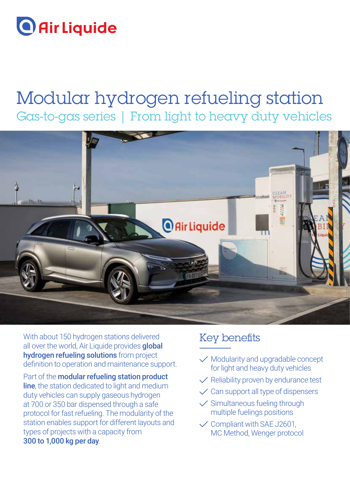# **O** Air Liquide

# Modular hydrogen refueling station Gas-to-gas series | From light to heavy duty vehicles



With about 150 hydrogen stations delivered all over the world, Air Liquide provides **global** hydrogen refueling solutions from project definition to operation and maintenance support.

Part of the **modular refueling station product line**, the station dedicated to light and medium duty vehicles can supply gaseous hydrogen at 700 or 350 bar dispensed through a safe protocol for fast refueling. The modularity of the station enables support for different layouts and types of projects with a capacity from 300 to 1,000 kg per day.

# Key benefits

- $\sqrt{\ }$  Modularity and upgradable concept for light and heavy duty vehicles
- $\sqrt{}$  Reliability proven by endurance test
- $\checkmark$  Can support all type of dispensers
- $\checkmark$  Simultaneous fueling through multiple fuelings positions
- $\checkmark$  Compliant with SAE J2601, MC Method, Wenger protocol